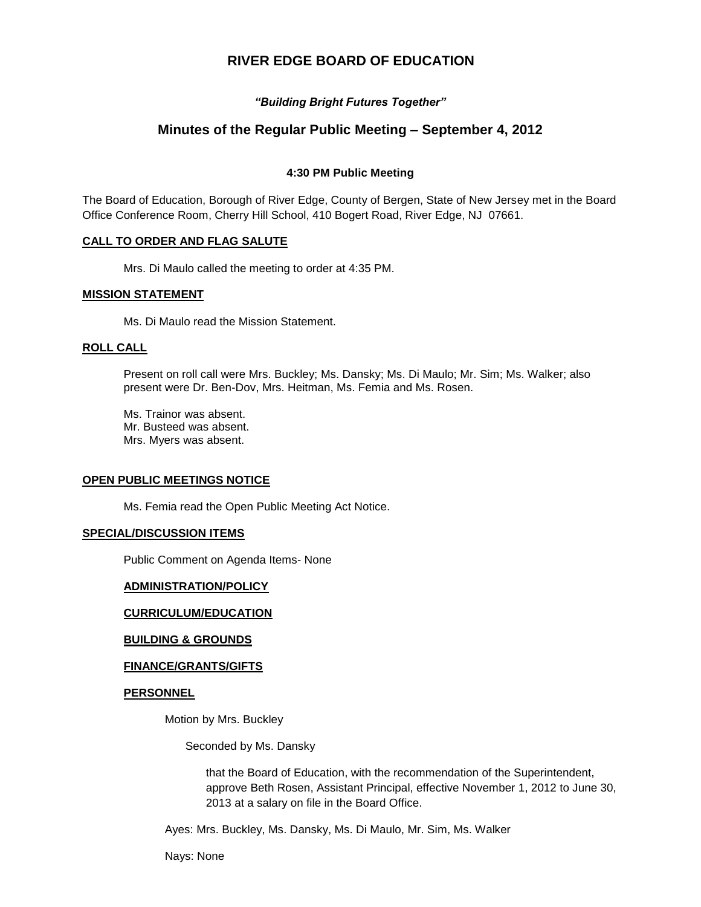# **RIVER EDGE BOARD OF EDUCATION**

## *"Building Bright Futures Together"*

# **Minutes of the Regular Public Meeting – September 4, 2012**

## **4:30 PM Public Meeting**

The Board of Education, Borough of River Edge, County of Bergen, State of New Jersey met in the Board Office Conference Room, Cherry Hill School, 410 Bogert Road, River Edge, NJ 07661.

## **CALL TO ORDER AND FLAG SALUTE**

Mrs. Di Maulo called the meeting to order at 4:35 PM.

## **MISSION STATEMENT**

Ms. Di Maulo read the Mission Statement.

#### **ROLL CALL**

Present on roll call were Mrs. Buckley; Ms. Dansky; Ms. Di Maulo; Mr. Sim; Ms. Walker; also present were Dr. Ben-Dov, Mrs. Heitman, Ms. Femia and Ms. Rosen.

Ms. Trainor was absent. Mr. Busteed was absent. Mrs. Myers was absent.

## **OPEN PUBLIC MEETINGS NOTICE**

Ms. Femia read the Open Public Meeting Act Notice.

## **SPECIAL/DISCUSSION ITEMS**

Public Comment on Agenda Items- None

#### **ADMINISTRATION/POLICY**

## **CURRICULUM/EDUCATION**

## **BUILDING & GROUNDS**

## **FINANCE/GRANTS/GIFTS**

## **PERSONNEL**

Motion by Mrs. Buckley

Seconded by Ms. Dansky

that the Board of Education, with the recommendation of the Superintendent, approve Beth Rosen, Assistant Principal, effective November 1, 2012 to June 30, 2013 at a salary on file in the Board Office.

Ayes: Mrs. Buckley, Ms. Dansky, Ms. Di Maulo, Mr. Sim, Ms. Walker

Nays: None